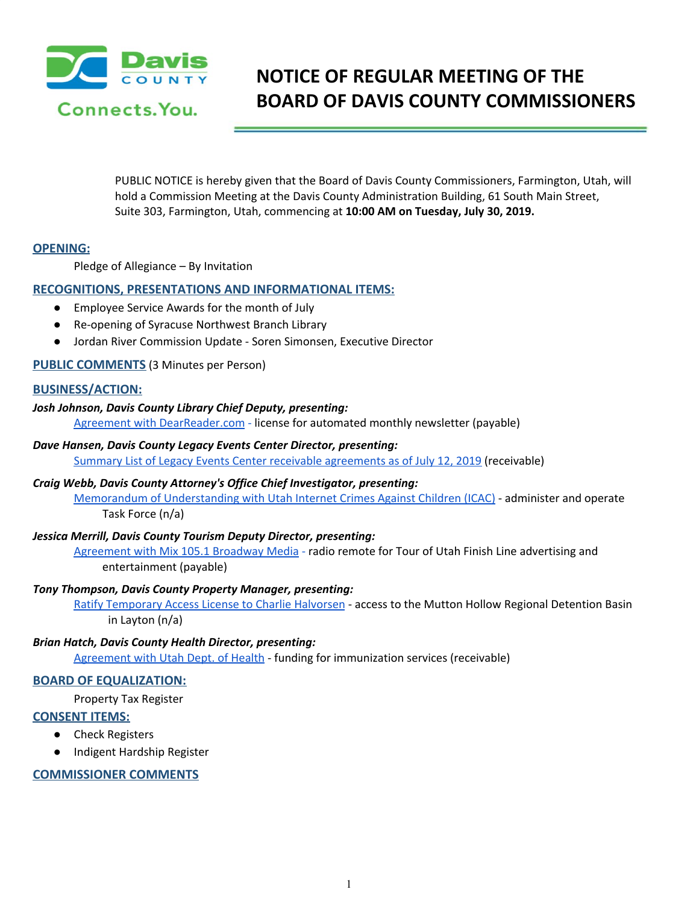

# **NOTICE OF REGULAR MEETING OF THE BOARD OF DAVIS COUNTY COMMISSIONERS**

PUBLIC NOTICE is hereby given that the Board of Davis County Commissioners, Farmington, Utah, will hold a Commission Meeting at the Davis County Administration Building, 61 South Main Street, Suite 303, Farmington, Utah, commencing at **10:00 AM on Tuesday, July 30, 2019.**

## **OPENING:**

Pledge of Allegiance – By Invitation

## **RECOGNITIONS, PRESENTATIONS AND INFORMATIONAL ITEMS:**

- [Employee](https://drive.google.com/a/co.davis.ut.us/file/d/1nImBNDNKK9lx-1uvKrwa6NpCjGljlumO/view?usp=drivesdk) Service Awards for the month of Jul[y](https://drive.google.com/a/co.davis.ut.us/file/d/1nImBNDNKK9lx-1uvKrwa6NpCjGljlumO/view?usp=drivesdk)
- Re-opening of Syracuse Northwest Branch Library
- Jordan River Commission Update Soren Simonsen, Executive Director

## **PUBLIC COMMENTS** (3 Minutes per Person)

## **BUSINESS/ACTION:**

## *Josh Johnson, Davis County Library Chief Deputy, presenting:*

Agreement with [DearReader.com](https://drive.google.com/a/co.davis.ut.us/file/d/1DjQuosZvyeXhsvwaQNucIVnn43FPIOFU/view?usp=drivesdk) [-](https://drive.google.com/a/co.davis.ut.us/file/d/1DjQuosZvyeXhsvwaQNucIVnn43FPIOFU/view?usp=drivesdk) license for [automated](https://drive.google.com/a/co.davis.ut.us/file/d/1DjQuosZvyeXhsvwaQNucIVnn43FPIOFU/view?usp=drivesdk) monthly newsletter (payable)

#### *Dave Hansen, Davis County Legacy Events Center Director, presenting:*

Summary List of Legacy Events Center receivable [agreements](https://drive.google.com/a/co.davis.ut.us/file/d/1-YLwAt5FaQ1lPRhrEc1ph_I_yuSD5SRv/view?usp=drivesdk) as of July 12, 2019 (receivable)

## *Craig Webb, Davis County Attorney's Office Chief Investigator, presenting:*

Memorandum of [Understanding](https://drive.google.com/a/co.davis.ut.us/file/d/17U9UqjoyF-qS5DzlBYNsQeNWC_WM_OLe/view?usp=drivesdk) with Utah Internet Crimes Against Children (ICAC) - [administer](https://drive.google.com/a/co.davis.ut.us/file/d/17U9UqjoyF-qS5DzlBYNsQeNWC_WM_OLe/view?usp=drivesdk) and operate Task [Force](https://drive.google.com/a/co.davis.ut.us/file/d/17U9UqjoyF-qS5DzlBYNsQeNWC_WM_OLe/view?usp=drivesdk) (n/a)

## *Jessica Merrill, Davis County Tourism Deputy Director, presenting:*

[Agreement](https://drive.google.com/a/co.davis.ut.us/file/d/1i93T30Ylf7Dnt9_65LuvqDqMSiVKsUmD/view?usp=drivesdk) with Mix 105.1 Broadway Media [-](https://drive.google.com/a/co.davis.ut.us/file/d/1i93T30Ylf7Dnt9_65LuvqDqMSiVKsUmD/view?usp=drivesdk) radio remote for Tour of Utah Finish Line [advertising](https://drive.google.com/a/co.davis.ut.us/file/d/1i93T30Ylf7Dnt9_65LuvqDqMSiVKsUmD/view?usp=drivesdk) and [entertainment](https://drive.google.com/a/co.davis.ut.us/file/d/1i93T30Ylf7Dnt9_65LuvqDqMSiVKsUmD/view?usp=drivesdk) (payable)

#### *Tony Thompson, Davis County Property Manager, presenting:*

Ratify [Temporary](https://drive.google.com/a/co.davis.ut.us/file/d/19Q6B7xm9HUg__-6Xq77nZ3e1lkU1tawP/view?usp=drivesdk) Access License to Charlie Halvorsen - access to the Mutton Hollow Regional [Detention](https://drive.google.com/a/co.davis.ut.us/file/d/19Q6B7xm9HUg__-6Xq77nZ3e1lkU1tawP/view?usp=drivesdk) Basin in [Layton](https://drive.google.com/a/co.davis.ut.us/file/d/19Q6B7xm9HUg__-6Xq77nZ3e1lkU1tawP/view?usp=drivesdk) (n/a)

#### *Brian Hatch, Davis County Health Director, presenting:*

[Agreement](https://drive.google.com/a/co.davis.ut.us/file/d/1DQpdkaAMi5ktJ2DmO8N83FwpPlaMG9Cd/view?usp=drivesdk) with Utah Dept. of Health - funding for [immunization](https://drive.google.com/a/co.davis.ut.us/file/d/1DQpdkaAMi5ktJ2DmO8N83FwpPlaMG9Cd/view?usp=drivesdk) services (receivable)

# **BOARD OF EQUALIZATION:**

[Property](https://drive.google.com/a/co.davis.ut.us/file/d/1l7YbEL6D3p0QavA6g0UpNYcC8Yz1xc_y/view?usp=drivesdk) Tax Register

# **CONSENT ITEMS:**

- Check Registers
- Indigent [Hardship](https://drive.google.com/a/co.davis.ut.us/file/d/14ST0Ue9K8pYHSbtv4jxPL_vHD0Z2323b/view?usp=drivesdk) Register

# **COMMISSIONER COMMENTS**